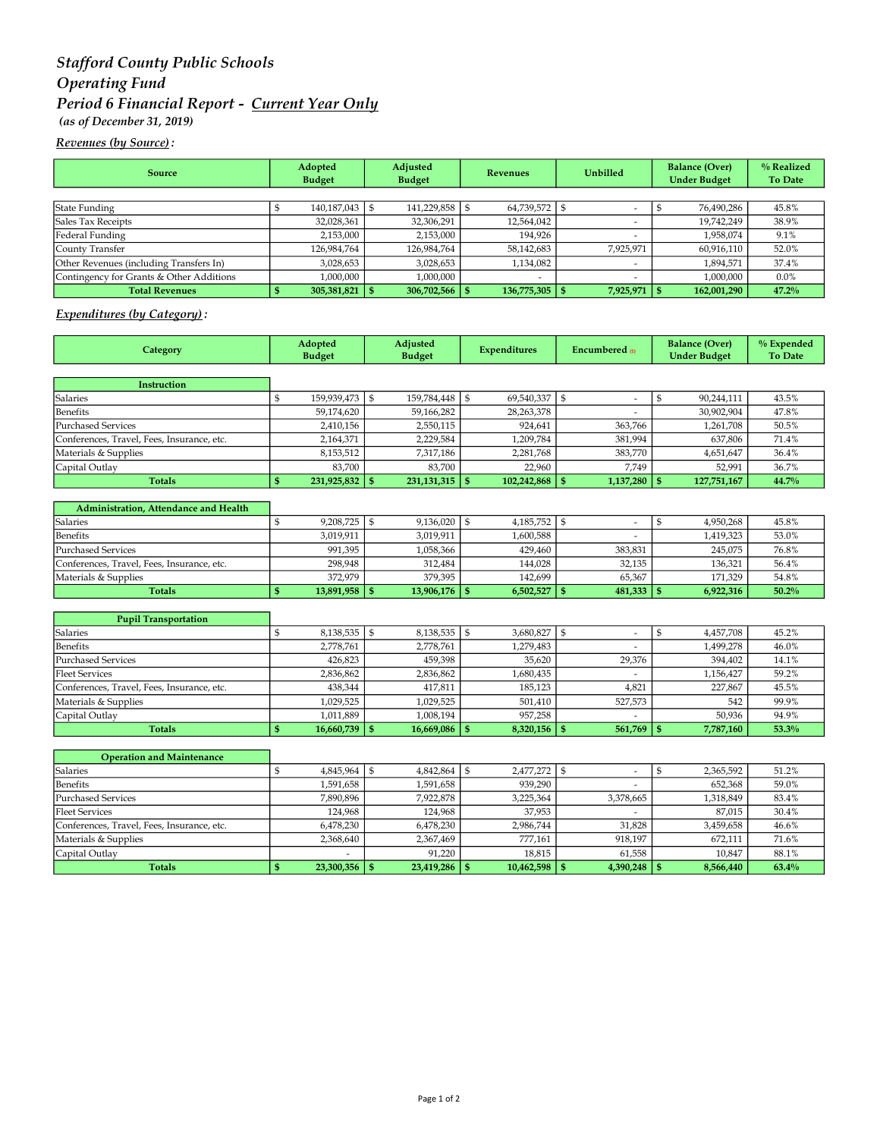# Stafford County Public Schools Operating Fund Period 6 Financial Report - Current Year Only (as of December 31, 2019)

## Revenues (by Source) :

| <b>Source</b>                            | Adopted<br><b>Budget</b> | Adjusted<br><b>Budget</b> | Revenues         | <b>Unbilled</b>  | <b>Balance (Over)</b><br><b>Under Budget</b> | % Realized<br>To Date |
|------------------------------------------|--------------------------|---------------------------|------------------|------------------|----------------------------------------------|-----------------------|
|                                          |                          |                           |                  |                  |                                              |                       |
| State Funding                            | $140,187,043$   \$       | 141,229,858 \$            | 64,739,572       |                  | 76,490,286                                   | 45.8%                 |
| Sales Tax Receipts                       | 32,028,361               | 32,306,291                | 12,564,042       |                  | 19,742,249                                   | 38.9%                 |
| Federal Funding                          | 2,153,000                | 2,153,000                 | 194.926          |                  | 1,958,074                                    | 9.1%                  |
| County Transfer                          | 126,984,764              | 126,984,764               | 58,142,683       | 7,925,971        | 60,916,110                                   | 52.0%                 |
| Other Revenues (including Transfers In)  | 3,028,653                | 3,028,653                 | 1,134,082        |                  | 1.894.571                                    | 37.4%                 |
| Contingency for Grants & Other Additions | 1,000,000                | 1,000,000                 |                  |                  | 1,000,000                                    | $0.0\%$               |
| <b>Total Revenues</b>                    | $305,381,821$ \$         | 306,702,566               | $136,775,305$ \$ | $7,925,971$   \$ | 162,001,290                                  | 47.2%                 |

#### Expenditures (by Category) :

| Category                                   | Adopted<br><b>Budget</b> |                   | Adjusted<br><b>Budget</b> |               | Expenditures |             | <b>Encumbered</b> m |                          | <b>Balance (Over)</b><br><b>Under Budget</b> |             | % Expended<br><b>To Date</b> |  |
|--------------------------------------------|--------------------------|-------------------|---------------------------|---------------|--------------|-------------|---------------------|--------------------------|----------------------------------------------|-------------|------------------------------|--|
|                                            |                          |                   |                           |               |              |             |                     |                          |                                              |             |                              |  |
| <b>Instruction</b>                         |                          |                   |                           |               |              |             |                     |                          |                                              |             |                              |  |
| Salaries                                   | \$                       | 159.939.473       | $\mathbf{\mathcal{S}}$    | 159,784,448   | \$           | 69,540,337  | $\mathfrak{s}$      | $\overline{\phantom{a}}$ | $\mathbb{S}$                                 | 90,244,111  | 43.5%                        |  |
| <b>Benefits</b>                            |                          | 59,174,620        |                           | 59,166,282    |              | 28,263,378  |                     |                          |                                              | 30,902,904  | 47.8%                        |  |
| <b>Purchased Services</b>                  |                          | 2,410,156         |                           | 2,550,115     |              | 924.641     |                     | 363.766                  |                                              | 1,261,708   | 50.5%                        |  |
| Conferences, Travel, Fees, Insurance, etc. |                          | 2,164,371         |                           | 2,229,584     |              | 1,209,784   |                     | 381,994                  |                                              | 637,806     | 71.4%                        |  |
| Materials & Supplies                       |                          | 8,153,512         |                           | 7,317,186     |              | 2,281,768   |                     | 383,770                  |                                              | 4,651,647   | 36.4%                        |  |
| Capital Outlay                             |                          | 83.700            |                           | 83,700        |              | 22,960      |                     | 7.749                    |                                              | 52,991      | 36.7%                        |  |
| <b>Totals</b>                              | \$                       | 231,925,832       | - \$                      | 231, 131, 315 | \$           | 102,242,868 | - \$                | 1,137,280                | $\mathbf{s}$                                 | 127,751,167 | 44.7%                        |  |
|                                            |                          |                   |                           |               |              |             |                     |                          |                                              |             |                              |  |
| Administration, Attendance and Health      |                          |                   |                           |               |              |             |                     |                          |                                              |             |                              |  |
| Salaries                                   | \$                       | 9,208,725         | \$                        | 9,136,020     | \$           | 4,185,752   | $\mathbb{S}$        | ٠                        | \$                                           | 4,950,268   | 45.8%                        |  |
| <b>Benefits</b>                            |                          | 3.019.911         |                           | 3,019,911     |              | 1,600,588   |                     |                          |                                              | 1,419,323   | 53.0%                        |  |
| <b>Purchased Services</b>                  |                          | 991.395           |                           | 1,058,366     |              | 429,460     |                     | 383,831                  |                                              | 245,075     | 76.8%                        |  |
| Conferences, Travel, Fees, Insurance, etc. |                          | 298,948           |                           | 312,484       |              | 144,028     |                     | 32,135                   |                                              | 136,321     | 56.4%                        |  |
| Materials & Supplies                       |                          | 372,979           |                           | 379,395       |              | 142,699     |                     | 65,367                   |                                              | 171,329     | 54.8%                        |  |
| <b>Totals</b>                              | $\mathbf{s}$             | $13,891,958$   \$ |                           | 13,906,176    | \$           | 6,502,527   | - \$                |                          |                                              | 6,922,316   | 50.2%                        |  |
|                                            |                          |                   |                           |               |              |             |                     |                          |                                              |             |                              |  |
| <b>Pupil Transportation</b>                |                          |                   |                           |               |              |             |                     |                          |                                              |             |                              |  |
| Salaries                                   | \$                       | 8,138,535         | $\mathfrak{S}$            | 8,138,535     | \$           | 3,680,827   | $\mathfrak{s}$      |                          | $\mathfrak{s}$                               | 4,457,708   | 45.2%                        |  |
| <b>Benefits</b>                            |                          | 2,778,761         |                           | 2,778,761     |              | 1,279,483   |                     |                          |                                              | 1,499,278   | 46.0%                        |  |
| <b>Purchased Services</b>                  |                          | 426,823           |                           | 459,398       |              | 35,620      |                     | 29,376                   |                                              | 394,402     | 14.1%                        |  |
| <b>Fleet Services</b>                      |                          | 2,836,862         |                           | 2,836,862     |              | 1,680,435   |                     |                          |                                              | 1,156,427   | 59.2%                        |  |
| Conferences, Travel, Fees, Insurance, etc. |                          | 438,344           |                           | 417.811       |              | 185,123     |                     | 4.821                    |                                              | 227,867     | 45.5%                        |  |
| Materials & Supplies                       |                          | 1,029,525         |                           | 1,029,525     |              | 501,410     |                     | 527,573                  |                                              | 542         | 99.9%                        |  |
| Capital Outlay                             |                          | 1,011,889         |                           | 1,008,194     |              | 957,258     |                     |                          |                                              | 50,936      | 94.9%                        |  |
| <b>Totals</b>                              | $\mathbf{s}$             | 16,660,739        | l s                       | 16,669,086    | $\mathbf{s}$ | 8,320,156   | $\mathbf{s}$        | 561,769                  | -95                                          | 7,787,160   | 53.3%                        |  |

| <b>Operation and Maintenance</b>           |                   |                 |                     |           |           |       |
|--------------------------------------------|-------------------|-----------------|---------------------|-----------|-----------|-------|
| Salaries                                   | 4,845,964         | $4,842,864$ \$  | 2,477,272 \$        |           | 2,365,592 | 51.2% |
| Benefits                                   | 1,591,658         | 1,591,658       | 939,290             |           | 652,368   | 59.0% |
| Purchased Services                         | 7.890.896         | 7.922.878       | 3,225,364           | 3,378,665 | 1,318,849 | 83.4% |
| <b>Fleet Services</b>                      | 124.968           | 124.968         | 37.953              |           | 87.015    | 30.4% |
| Conferences, Travel, Fees, Insurance, etc. | 6,478,230         | 6,478,230       | 2,986,744           | 31.828    | 3,459,658 | 46.6% |
| Materials & Supplies                       | 2,368,640         | 2,367,469       | 777,161             | 918,197   | 672.111   | 71.6% |
| Capital Outlay                             |                   | 91.220          | 18.815              | 61.558    | 10.847    | 88.1% |
| <b>Totals</b>                              | $23,300,356$   \$ | $23,419,286$ \$ | $10,462,598$ \ \ \$ |           | 8,566,440 | 63.4% |